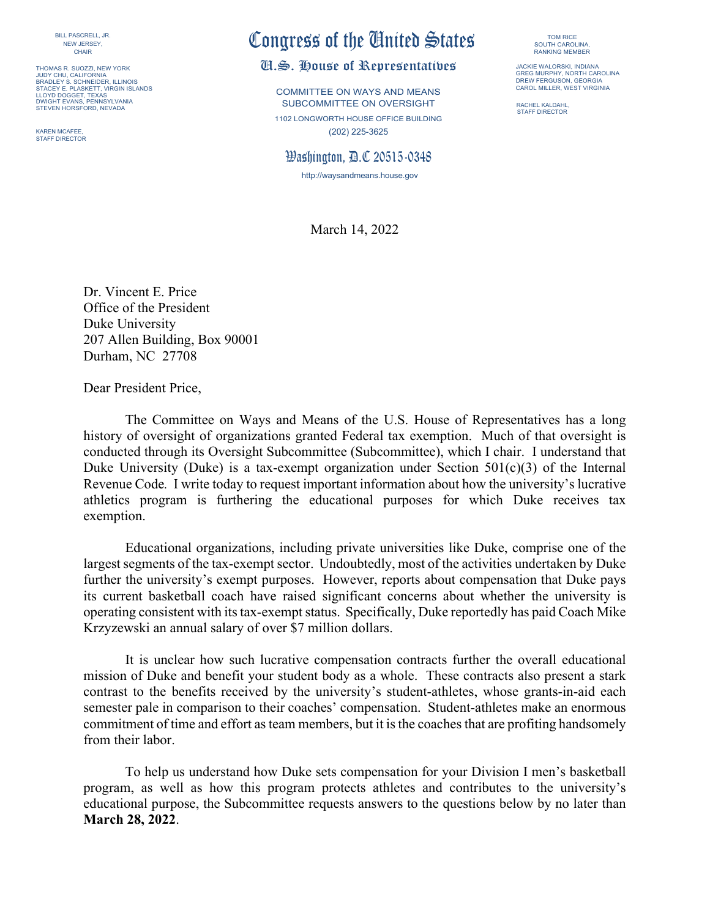BILL PASCRELL, JR. NEW JERSEY, **CHAIR** 

THOMAS R. SUOZZI, NEW YORK JUDY CHU, CALIFORNIA BRADLEY S. SCHNEIDER, ILLINOIS STACEY E. PLASKETT, VIRGIN ISLANDS STACET E. FLASKETT, V DWIGHT EVANS, PENNSYLVANIA STEVEN HORSFORD, NEVADA

KAREN MCAFEE, STAFF DIRECTOR

# Congress of the United States

## U.S. House of Representatives

COMMITTEE ON WAYS AND MEANS SUBCOMMITTEE ON OVERSIGHT 1102 LONGWORTH HOUSE OFFICE BUILDING (202) 225-3625

Washington, D.C 20515-0348

http://waysandmeans.house.gov

March 14, 2022

TOM RICE SOUTH CAROLINA RANKING MEMBER

JACKIE WALORSKI, INDIANA GREG MURPHY, NORTH CAROLINA DREW FERGUSON, GEORGIA CAROL MILLER, WEST VIRGINIA

RACHEL KALDAHL, STAFF DIRECTOR

Dr. Vincent E. Price Office of the President Duke University 207 Allen Building, Box 90001 Durham, NC 27708

Dear President Price,

The Committee on Ways and Means of the U.S. House of Representatives has a long history of oversight of organizations granted Federal tax exemption. Much of that oversight is conducted through its Oversight Subcommittee (Subcommittee), which I chair. I understand that Duke University (Duke) is a tax-exempt organization under Section  $501(c)(3)$  of the Internal Revenue Code*.* I write today to request important information about how the university's lucrative athletics program is furthering the educational purposes for which Duke receives tax exemption.

Educational organizations, including private universities like Duke, comprise one of the largest segments of the tax-exempt sector. Undoubtedly, most of the activities undertaken by Duke further the university's exempt purposes. However, reports about compensation that Duke pays its current basketball coach have raised significant concerns about whether the university is operating consistent with its tax-exempt status. Specifically, Duke reportedly has paid Coach Mike Krzyzewski an annual salary of over \$7 million dollars.

It is unclear how such lucrative compensation contracts further the overall educational mission of Duke and benefit your student body as a whole. These contracts also present a stark contrast to the benefits received by the university's student-athletes, whose grants-in-aid each semester pale in comparison to their coaches' compensation. Student-athletes make an enormous commitment of time and effort as team members, but it is the coaches that are profiting handsomely from their labor.

To help us understand how Duke sets compensation for your Division I men's basketball program, as well as how this program protects athletes and contributes to the university's educational purpose, the Subcommittee requests answers to the questions below by no later than **March 28, 2022**.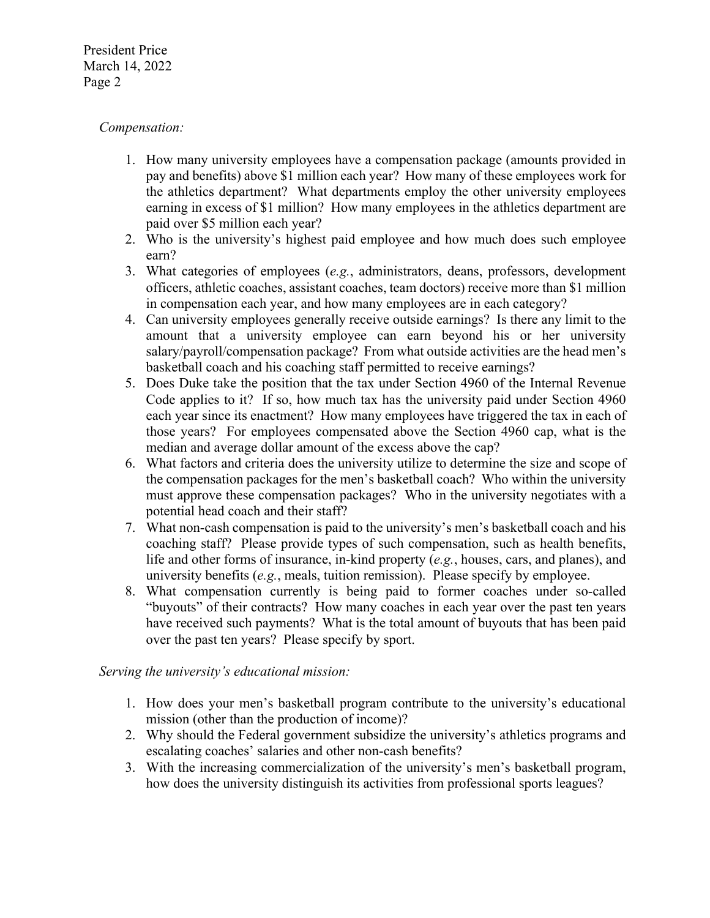President Price March 14, 2022 Page 2

# *Compensation:*

- 1. How many university employees have a compensation package (amounts provided in pay and benefits) above \$1 million each year? How many of these employees work for the athletics department? What departments employ the other university employees earning in excess of \$1 million? How many employees in the athletics department are paid over \$5 million each year?
- 2. Who is the university's highest paid employee and how much does such employee earn?
- 3. What categories of employees (*e.g.*, administrators, deans, professors, development officers, athletic coaches, assistant coaches, team doctors) receive more than \$1 million in compensation each year, and how many employees are in each category?
- 4. Can university employees generally receive outside earnings? Is there any limit to the amount that a university employee can earn beyond his or her university salary/payroll/compensation package? From what outside activities are the head men's basketball coach and his coaching staff permitted to receive earnings?
- 5. Does Duke take the position that the tax under Section 4960 of the Internal Revenue Code applies to it? If so, how much tax has the university paid under Section 4960 each year since its enactment? How many employees have triggered the tax in each of those years? For employees compensated above the Section 4960 cap, what is the median and average dollar amount of the excess above the cap?
- 6. What factors and criteria does the university utilize to determine the size and scope of the compensation packages for the men's basketball coach? Who within the university must approve these compensation packages? Who in the university negotiates with a potential head coach and their staff?
- 7. What non-cash compensation is paid to the university's men's basketball coach and his coaching staff? Please provide types of such compensation, such as health benefits, life and other forms of insurance, in-kind property (*e.g.*, houses, cars, and planes), and university benefits (*e.g.*, meals, tuition remission). Please specify by employee.
- 8. What compensation currently is being paid to former coaches under so-called "buyouts" of their contracts? How many coaches in each year over the past ten years have received such payments? What is the total amount of buyouts that has been paid over the past ten years? Please specify by sport.

#### *Serving the university's educational mission:*

- 1. How does your men's basketball program contribute to the university's educational mission (other than the production of income)?
- 2. Why should the Federal government subsidize the university's athletics programs and escalating coaches' salaries and other non-cash benefits?
- 3. With the increasing commercialization of the university's men's basketball program, how does the university distinguish its activities from professional sports leagues?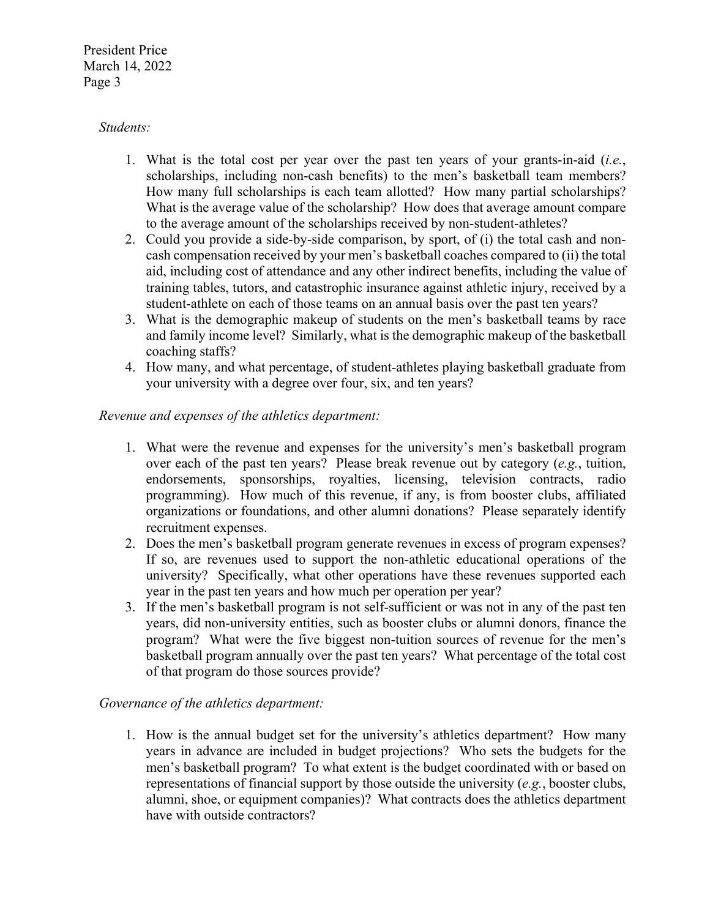President Price March 14, 2022 Page 3

## *Students:*

- 1. What is the total cost per year over the past ten years of your grants-in-aid (*i.e.*, scholarships, including non-cash benefits) to the men's basketball team members? How many full scholarships is each team allotted? How many partial scholarships? What is the average value of the scholarship? How does that average amount compare to the average amount of the scholarships received by non-student-athletes?
- 2. Could you provide a side-by-side comparison, by sport, of (i) the total cash and noncash compensation received by your men's basketball coaches compared to (ii) the total aid, including cost of attendance and any other indirect benefits, including the value of training tables, tutors, and catastrophic insurance against athletic injury, received by a student-athlete on each of those teams on an annual basis over the past ten years?
- 3. What is the demographic makeup of students on the men's basketball teams by race and family income level? Similarly, what is the demographic makeup of the basketball coaching staffs?
- 4. How many, and what percentage, of student-athletes playing basketball graduate from your university with a degree over four, six, and ten years?

# *Revenue and expenses of the athletics department:*

- 1. What were the revenue and expenses for the university's men's basketball program over each of the past ten years? Please break revenue out by category (*e.g.*, tuition, endorsements, sponsorships, royalties, licensing, television contracts, radio programming). How much of this revenue, if any, is from booster clubs, affiliated organizations or foundations, and other alumni donations? Please separately identify recruitment expenses.
- 2. Does the men's basketball program generate revenues in excess of program expenses? If so, are revenues used to support the non-athletic educational operations of the university? Specifically, what other operations have these revenues supported each year in the past ten years and how much per operation per year?
- 3. If the men's basketball program is not self-sufficient or was not in any of the past ten years, did non-university entities, such as booster clubs or alumni donors, finance the program? What were the five biggest non-tuition sources of revenue for the men's basketball program annually over the past ten years? What percentage of the total cost of that program do those sources provide?

#### *Governance of the athletics department:*

1. How is the annual budget set for the university's athletics department? How many years in advance are included in budget projections? Who sets the budgets for the men's basketball program? To what extent is the budget coordinated with or based on representations of financial support by those outside the university (*e.g.*, booster clubs, alumni, shoe, or equipment companies)? What contracts does the athletics department have with outside contractors?